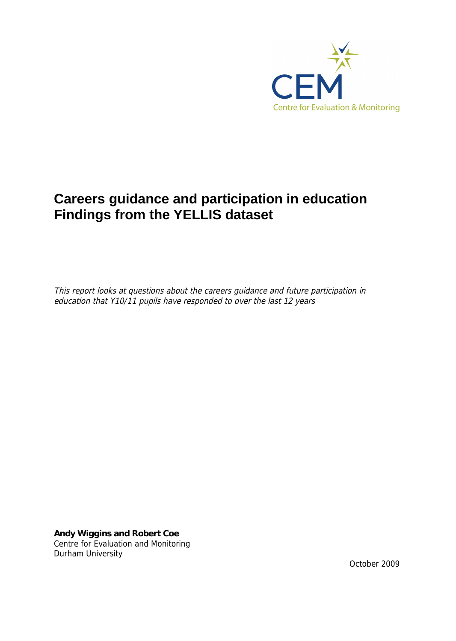

# **Careers guidance and participation in education Findings from the YELLIS dataset**

*This report looks at questions about the careers guidance and future participation in education that Y10/11 pupils have responded to over the last 12 years*

**Andy Wiggins and Robert Coe**  Centre for Evaluation and Monitoring Durham University

October 2009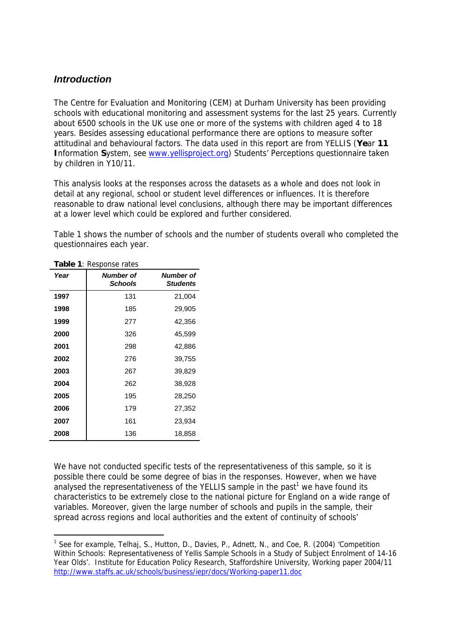## *Introduction*

The Centre for Evaluation and Monitoring (CEM) at Durham University has been providing schools with educational monitoring and assessment systems for the last 25 years. Currently about 6500 schools in the UK use one or more of the systems with children aged 4 to 18 years. Besides assessing educational performance there are options to measure softer attitudinal and behavioural factors. The data used in this report are from YELLIS (**Ye**ar **11 I**nformation **S**ystem, see [www.yellisproject.org\)](http://www.yellisproject.org/) Students' Perceptions questionnaire taken by children in Y10/11.

This analysis looks at the responses across the datasets as a whole and does not look in detail at any regional, school or student level differences or influences. It is therefore reasonable to draw national level conclusions, although there may be important differences at a lower level which could be explored and further considered.

Table 1 shows the number of schools and the number of students overall who completed the questionnaires each year.

| Year | <b>T. INCOPOLIJE TUILS</b><br>Number of<br><b>Schools</b> | <b>Number of</b><br><b>Students</b> |
|------|-----------------------------------------------------------|-------------------------------------|
| 1997 | 131                                                       | 21,004                              |
| 1998 | 185                                                       | 29,905                              |
| 1999 | 277                                                       | 42,356                              |
| 2000 | 326                                                       | 45,599                              |
| 2001 | 298                                                       | 42,886                              |
| 2002 | 276                                                       | 39,755                              |
| 2003 | 267                                                       | 39,829                              |
| 2004 | 262                                                       | 38,928                              |
| 2005 | 195                                                       | 28,250                              |
| 2006 | 179                                                       | 27,352                              |
| 2007 | 161                                                       | 23,934                              |
| 2008 | 136                                                       | 18,858                              |

**Table 1**: Response rates

We have not conducted specific tests of the representativeness of this sample, so it is possible there could be some degree of bias in the responses. However, when we have analysed the representativeness of the YELLIS sample in the past<sup>1</sup> we have found its characteristics to be extremely close to the national picture for England on a wide range of variables. Moreover, given the large number of schools and pupils in the sample, their spread across regions and local authorities and the extent of continuity of schools'

<sup>&</sup>lt;sup>1</sup> See for example, Telhaj, S., Hutton, D., Davies, P., Adnett, N., and Coe, R. (2004) 'Competition Within Schools: Representativeness of Yellis Sample Schools in a Study of Subject Enrolment of 14-16 Year Olds'. Institute for Education Policy Research, Staffordshire University, Working paper 2004/11 http://www.staffs.ac.uk/schools/business/iepr/docs/Working-paper11.doc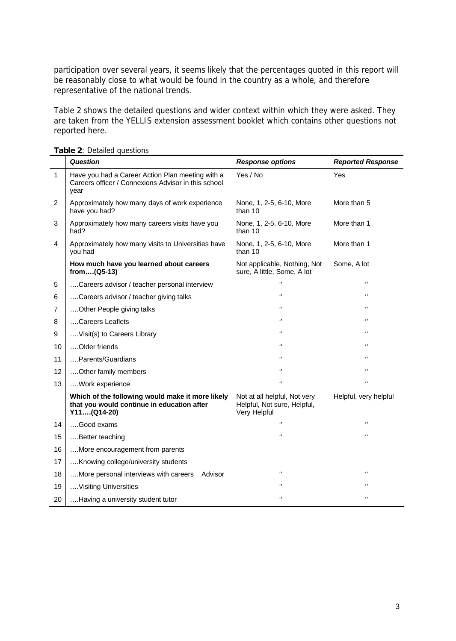participation over several years, it seems likely that the percentages quoted in this report will be reasonably close to what would be found in the country as a whole, and therefore representative of the national trends.

Table 2 shows the detailed questions and wider context within which they were asked. They are taken from the YELLIS extension assessment booklet which contains other questions not reported here.

|    | <b>Question</b>                                                                                                 | <b>Response options</b>                                                     | <b>Reported Response</b> |
|----|-----------------------------------------------------------------------------------------------------------------|-----------------------------------------------------------------------------|--------------------------|
| 1  | Have you had a Career Action Plan meeting with a<br>Careers officer / Connexions Advisor in this school<br>year | Yes / No                                                                    | Yes                      |
| 2  | Approximately how many days of work experience<br>have you had?                                                 | None, 1, 2-5, 6-10, More<br>than 10                                         | More than 5              |
| 3  | Approximately how many careers visits have you<br>had?                                                          | None, 1, 2-5, 6-10, More<br>than 10                                         | More than 1              |
| 4  | Approximately how many visits to Universities have<br>you had                                                   | None, 1, 2-5, 6-10, More<br>than 10                                         | More than 1              |
|    | How much have you learned about careers<br>from(Q5-13)                                                          | Not applicable, Nothing, Not<br>sure, A little, Some, A lot                 | Some, A lot              |
| 5  | Careers advisor / teacher personal interview                                                                    | $\epsilon$                                                                  | $\pmb{\epsilon}$         |
| 6  | Careers advisor / teacher giving talks                                                                          | $\pmb{\cdots}$                                                              | $^{(1)}$                 |
| 7  | Other People giving talks                                                                                       | $^{1}$                                                                      | $^{1}$                   |
| 8  | Careers Leaflets                                                                                                | $^{11}$                                                                     | $^{(1)}$                 |
| 9  | Visit(s) to Careers Library                                                                                     | $\pmb{\cdots}$                                                              | $\epsilon$               |
| 10 | Older friends                                                                                                   | $^{11}$                                                                     | $^{1}$                   |
| 11 | Parents/Guardians                                                                                               | $\pmb{\cdots}$                                                              | $^{(1)}$                 |
| 12 | Other family members                                                                                            | $\epsilon$                                                                  | $\epsilon$               |
| 13 | Work experience                                                                                                 | $\pmb{\cdots}$                                                              | $\pmb{\cdots}$           |
|    | Which of the following would make it more likely<br>that you would continue in education after<br>Y11(Q14-20)   | Not at all helpful, Not very<br>Helpful, Not sure, Helpful,<br>Very Helpful | Helpful, very helpful    |
| 14 | Good exams                                                                                                      | $^{11}$                                                                     | $\pmb{\cdots}$           |
| 15 | Better teaching                                                                                                 | $\pmb{\cdots}$                                                              | $\pmb{\cdots}$           |
| 16 | More encouragement from parents                                                                                 |                                                                             |                          |
| 17 | Knowing college/university students                                                                             |                                                                             |                          |
| 18 | More personal interviews with careers<br>Advisor                                                                | $\pmb{\cdots}$                                                              | $\pmb{\epsilon}$         |
| 19 | Visiting Universities                                                                                           | $^{11}$                                                                     | $^{(1)}$                 |
| 20 | Having a university student tutor                                                                               | $\pmb{\cdots}$                                                              | $\pmb{\epsilon}$         |

**Table 2**: Detailed questions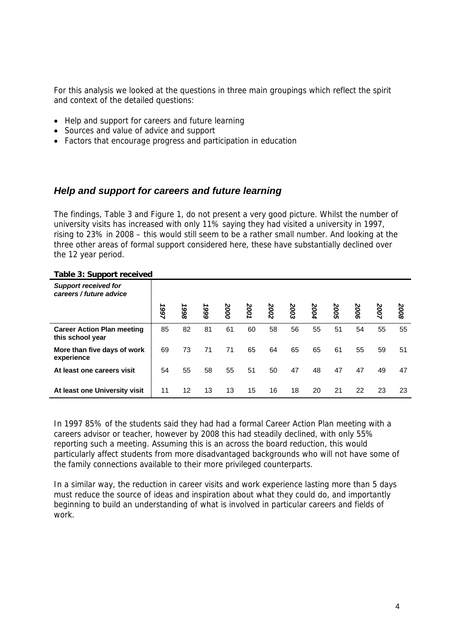For this analysis we looked at the questions in three main groupings which reflect the spirit and context of the detailed questions:

- Help and support for careers and future learning
- Sources and value of advice and support
- Factors that encourage progress and participation in education

## *Help and support for careers and future learning*

The findings, Table 3 and Figure 1, do not present a very good picture. Whilst the number of university visits has increased with only 11% saying they had visited a university in 1997, rising to 23% in 2008 – this would still seem to be a rather small number. And looking at the three other areas of formal support considered here, these have substantially declined over the 12 year period.

| able 5. Support received                               |      |      |      |      |     |      |      |      |     |      |      |      |
|--------------------------------------------------------|------|------|------|------|-----|------|------|------|-----|------|------|------|
| <b>Support received for</b><br>careers / future advice |      |      |      |      |     |      |      |      |     |      |      |      |
|                                                        | 1997 | 1998 | 1999 | 2000 | 200 | 2002 | 2003 | 2004 | 200 | 3006 | 2007 | 2008 |
| <b>Career Action Plan meeting</b><br>this school year  | 85   | 82   | 81   | 61   | 60  | 58   | 56   | 55   | 51  | 54   | 55   | 55   |
| More than five days of work<br>experience              | 69   | 73   | 71   | 71   | 65  | 64   | 65   | 65   | 61  | 55   | 59   | 51   |
| At least one careers visit                             | 54   | 55   | 58   | 55   | 51  | 50   | 47   | 48   | 47  | 47   | 49   | 47   |
| At least one University visit                          | 11   | 12   | 13   | 13   | 15  | 16   | 18   | 20   | 21  | 22   | 23   | 23   |

**Table 3: Support received**

In 1997 85% of the students said they had had a formal Career Action Plan meeting with a careers advisor or teacher, however by 2008 this had steadily declined, with only 55% reporting such a meeting. Assuming this is an across the board reduction, this would particularly affect students from more disadvantaged backgrounds who will not have some of the family connections available to their more privileged counterparts.

In a similar way, the reduction in career visits and work experience lasting more than 5 days must reduce the source of ideas and inspiration about what they could do, and importantly beginning to build an understanding of what is involved in particular careers and fields of work.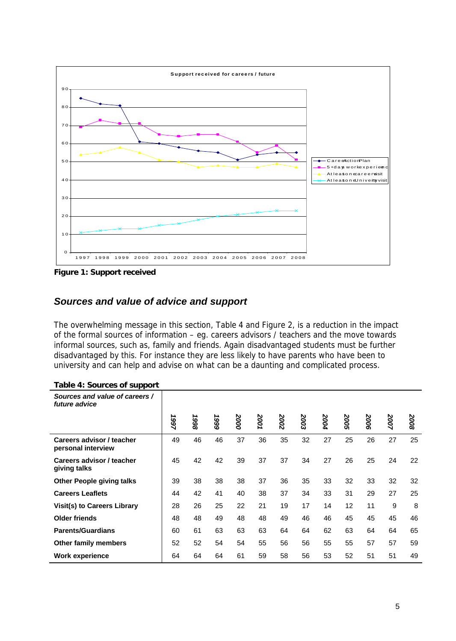

**Figure 1: Support received**

# *Sources and value of advice and support*

The overwhelming message in this section, Table 4 and Figure 2, is a reduction in the impact of the formal sources of information – eg. careers advisors / teachers and the move towards informal sources, such as, family and friends. Again disadvantaged students must be further disadvantaged by this. For instance they are less likely to have parents who have been to university and can help and advise on what can be a daunting and complicated process.

| Sources and value of careers /<br>future advice |      |      |          |      |      |      |      |      |      |      |      |      |
|-------------------------------------------------|------|------|----------|------|------|------|------|------|------|------|------|------|
|                                                 | 1997 | 8661 | ∸<br>666 | 2000 | 2001 | 2002 | 2003 | 2004 | 2005 | 2006 | 2007 | 2008 |
| Careers advisor / teacher<br>personal interview | 49   | 46   | 46       | 37   | 36   | 35   | 32   | 27   | 25   | 26   | 27   | 25   |
| Careers advisor / teacher<br>giving talks       | 45   | 42   | 42       | 39   | 37   | 37   | 34   | 27   | 26   | 25   | 24   | 22   |
| <b>Other People giving talks</b>                | 39   | 38   | 38       | 38   | 37   | 36   | 35   | 33   | 32   | 33   | 32   | 32   |
| <b>Careers Leaflets</b>                         | 44   | 42   | 41       | 40   | 38   | 37   | 34   | 33   | 31   | 29   | 27   | 25   |
| Visit(s) to Careers Library                     | 28   | 26   | 25       | 22   | 21   | 19   | 17   | 14   | 12   | 11   | 9    | 8    |
| <b>Older friends</b>                            | 48   | 48   | 49       | 48   | 48   | 49   | 46   | 46   | 45   | 45   | 45   | 46   |
| <b>Parents/Guardians</b>                        | 60   | 61   | 63       | 63   | 63   | 64   | 64   | 62   | 63   | 64   | 64   | 65   |
| Other family members                            | 52   | 52   | 54       | 54   | 55   | 56   | 56   | 55   | 55   | 57   | 57   | 59   |
| <b>Work experience</b>                          | 64   | 64   | 64       | 61   | 59   | 58   | 56   | 53   | 52   | 51   | 51   | 49   |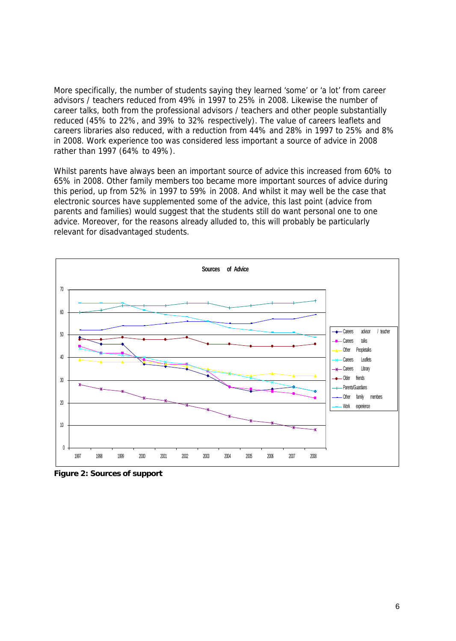More specifically, the number of students saying they learned 'some' or 'a lot' from career advisors / teachers reduced from 49% in 1997 to 25% in 2008. Likewise the number of career talks, both from the professional advisors / teachers and other people substantially reduced (45% to 22%, and 39% to 32% respectively). The value of careers leaflets and careers libraries also reduced, with a reduction from 44% and 28% in 1997 to 25% and 8% in 2008. Work experience too was considered less important a source of advice in 2008 rather than 1997 (64% to 49%).

Whilst parents have always been an important source of advice this increased from 60% to 65% in 2008. Other family members too became more important sources of advice during this period, up from 52% in 1997 to 59% in 2008. And whilst it may well be the case that electronic sources have supplemented some of the advice, this last point (advice from parents and families) would suggest that the students still do want personal one to one advice. Moreover, for the reasons already alluded to, this will probably be particularly relevant for disadvantaged students.



**Figure 2: Sources of support**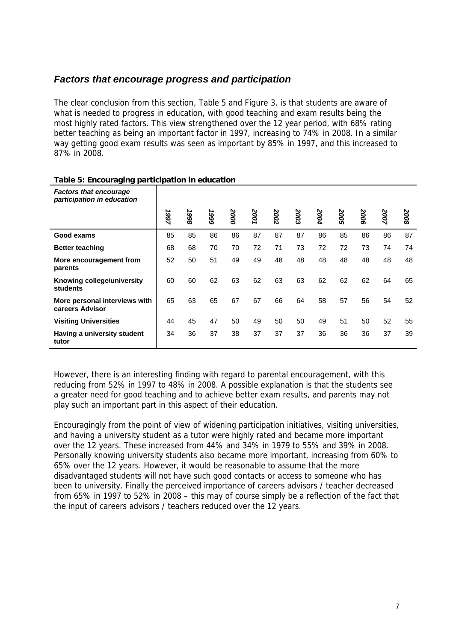#### *Factors that encourage progress and participation*

The clear conclusion from this section, Table 5 and Figure 3, is that students are aware of what is needed to progress in education, with good teaching and exam results being the most highly rated factors. This view strengthened over the 12 year period, with 68% rating better teaching as being an important factor in 1997, increasing to 74% in 2008. In a similar way getting good exam results was seen as important by 85% in 1997, and this increased to 87% in 2008.

| <b>Factors that encourage</b><br>participation in education |      |      |      |      |      |      |      |      |                 |      |      |      |
|-------------------------------------------------------------|------|------|------|------|------|------|------|------|-----------------|------|------|------|
|                                                             | 1997 | 8661 | 1999 | 2000 | 2001 | 2002 | 2003 | 2004 | N<br><b>SOO</b> | 2006 | 2007 | 2008 |
| Good exams                                                  | 85   | 85   | 86   | 86   | 87   | 87   | 87   | 86   | 85              | 86   | 86   | 87   |
| <b>Better teaching</b>                                      | 68   | 68   | 70   | 70   | 72   | 71   | 73   | 72   | 72              | 73   | 74   | 74   |
| More encouragement from<br>parents                          | 52   | 50   | 51   | 49   | 49   | 48   | 48   | 48   | 48              | 48   | 48   | 48   |
| Knowing college/university<br>students                      | 60   | 60   | 62   | 63   | 62   | 63   | 63   | 62   | 62              | 62   | 64   | 65   |
| More personal interviews with<br>careers Advisor            | 65   | 63   | 65   | 67   | 67   | 66   | 64   | 58   | 57              | 56   | 54   | 52   |
| <b>Visiting Universities</b>                                | 44   | 45   | 47   | 50   | 49   | 50   | 50   | 49   | 51              | 50   | 52   | 55   |
| Having a university student<br>tutor                        | 34   | 36   | 37   | 38   | 37   | 37   | 37   | 36   | 36              | 36   | 37   | 39   |

#### **Table 5: Encouraging participation in education**

However, there is an interesting finding with regard to parental encouragement, with this reducing from 52% in 1997 to 48% in 2008. A possible explanation is that the students see a greater need for good teaching and to achieve better exam results, and parents may not play such an important part in this aspect of their education.

Encouragingly from the point of view of widening participation initiatives, visiting universities, and having a university student as a tutor were highly rated and became more important over the 12 years. These increased from 44% and 34% in 1979 to 55% and 39% in 2008. Personally knowing university students also became more important, increasing from 60% to 65% over the 12 years. However, it would be reasonable to assume that the more disadvantaged students will not have such good contacts or access to someone who has been to university. Finally the perceived importance of careers advisors / teacher decreased from 65% in 1997 to 52% in 2008 – this may of course simply be a reflection of the fact that the input of careers advisors / teachers reduced over the 12 years.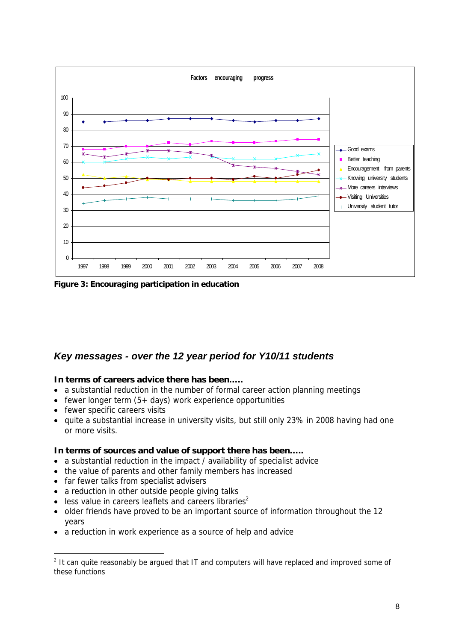

**Figure 3: Encouraging participation in education**

#### *Key messages - over the 12 year period for Y10/11 students*

**In terms of careers advice there has been…..** 

- a substantial reduction in the number of formal career action planning meetings
- fewer longer term  $(5 + \text{days})$  work experience opportunities
- fewer specific careers visits
- quite a substantial increase in university visits, but still only 23% in 2008 having had one or more visits.

**In terms of sources and value of support there has been…..**

- a substantial reduction in the impact / availability of specialist advice
- the value of parents and other family members has increased
- far fewer talks from specialist advisers
- a reduction in other outside people giving talks
- less value in careers leaflets and careers libraries<sup>2</sup>
- older friends have proved to be an important source of information throughout the 12 years
- a reduction in work experience as a source of help and advice

<sup>&</sup>lt;sup>2</sup> It can quite reasonably be argued that IT and computers will have replaced and improved some of these functions